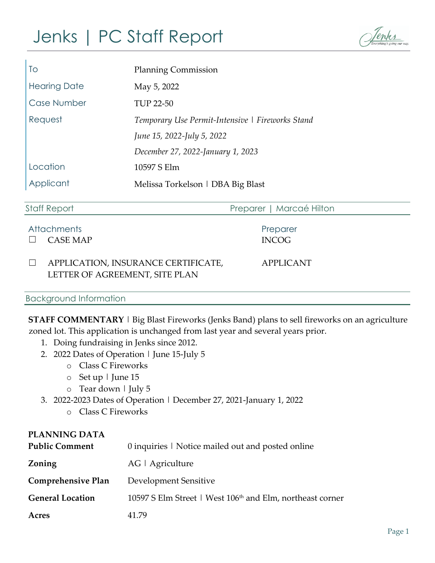# Jenks | PC Staff Report

| To                  | <b>Planning Commission</b>                       |
|---------------------|--------------------------------------------------|
| <b>Hearing Date</b> | May 5, 2022                                      |
| Case Number         | <b>TUP 22-50</b>                                 |
| Request             | Temporary Use Permit-Intensive   Fireworks Stand |
|                     | June 15, 2022-July 5, 2022                       |
|                     | December 27, 2022-January 1, 2023                |
| Location            | 10597 S Elm                                      |
| Applicant           | Melissa Torkelson   DBA Big Blast                |

| <b>Staff Report</b> |                                                                       | Preparer   Marcaé Hilton |  |
|---------------------|-----------------------------------------------------------------------|--------------------------|--|
|                     | <b>Attachments</b><br><b>CASE MAP</b>                                 | Preparer<br><b>INCOG</b> |  |
|                     | APPLICATION, INSURANCE CERTIFICATE,<br>LETTER OF AGREEMENT, SITE PLAN | <b>APPLICANT</b>         |  |
|                     | <b>Background Information</b>                                         |                          |  |

**STAFF COMMENTARY** | Big Blast Fireworks (Jenks Band) plans to sell fireworks on an agriculture zoned lot. This application is unchanged from last year and several years prior.

- 1. Doing fundraising in Jenks since 2012.
- 2. 2022 Dates of Operation | June 15-July 5
	- o Class C Fireworks
	- o Set up | June 15
	- o Tear down | July 5
- 3. 2022-2023 Dates of Operation | December 27, 2021-January 1, 2022
	- o Class C Fireworks

# **PLANNING DATA Public Comment** 0 inquiries | Notice mailed out and posted online **Zoning** AG | Agriculture **Comprehensive Plan** Development Sensitive General Location 10597 S Elm Street | West 106<sup>th</sup> and Elm, northeast corner **Acres** 41.79

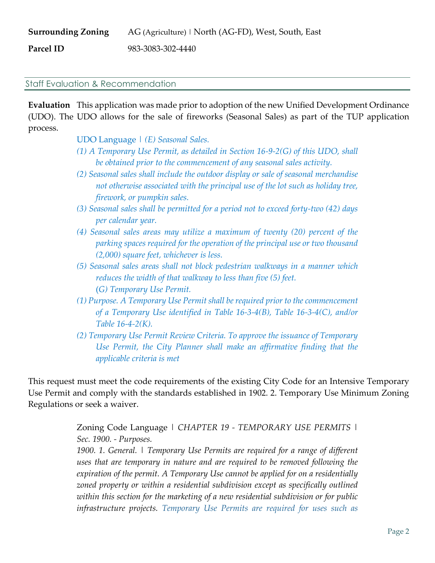| <b>Surrounding Zoning</b> | AG (Agriculture)   North (AG-FD), West, South, East |
|---------------------------|-----------------------------------------------------|
| Parcel ID                 | 983-3083-302-4440                                   |

#### Staff Evaluation & Recommendation

**Evaluation** This application was made prior to adoption of the new Unified Development Ordinance (UDO). The UDO allows for the sale of fireworks (Seasonal Sales) as part of the TUP application process.

UDO Language *| (E) Seasonal Sales.* 

- *(1) A Temporary Use Permit, as detailed in Section 16-9-2(G) of this UDO, shall be obtained prior to the commencement of any seasonal sales activity.*
- *(2) Seasonal sales shall include the outdoor display or sale of seasonal merchandise not otherwise associated with the principal use of the lot such as holiday tree, firework, or pumpkin sales.*
- *(3) Seasonal sales shall be permitted for a period not to exceed forty-two (42) days per calendar year.*
- *(4) Seasonal sales areas may utilize a maximum of twenty (20) percent of the parking spaces required for the operation of the principal use or two thousand (2,000) square feet, whichever is less.*
- *(5) Seasonal sales areas shall not block pedestrian walkways in a manner which reduces the width of that walkway to less than five (5) feet.* (*G) Temporary Use Permit.*
- *(1) Purpose. A Temporary Use Permit shall be required prior to the commencement of a Temporary Use identified in Table 16-3-4(B), Table 16-3-4(C), and/or Table 16-4-2(K).*
- *(2) Temporary Use Permit Review Criteria. To approve the issuance of Temporary Use Permit, the City Planner shall make an affirmative finding that the applicable criteria is met*

This request must meet the code requirements of the existing City Code for an Intensive Temporary Use Permit and comply with the standards established in 1902. 2. Temporary Use Minimum Zoning Regulations or seek a waiver.

> Zoning Code Language | *CHAPTER 19 - TEMPORARY USE PERMITS | Sec. 1900. - Purposes.*

> *1900. 1. General. | Temporary Use Permits are required for a range of different uses that are temporary in nature and are required to be removed following the expiration of the permit. A Temporary Use cannot be applied for on a residentially zoned property or within a residential subdivision except as specifically outlined within this section for the marketing of a new residential subdivision or for public infrastructure projects. Temporary Use Permits are required for uses such as*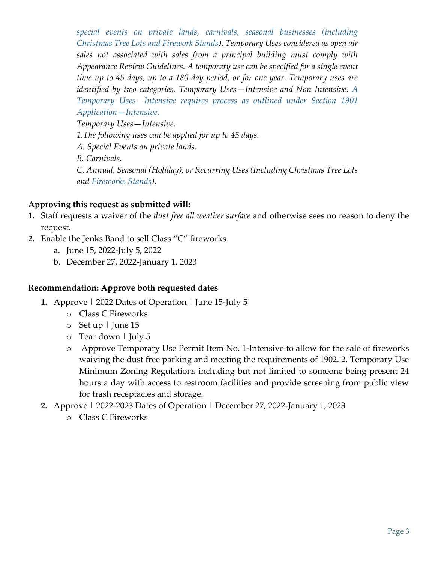*special events on private lands, carnivals, seasonal businesses (including Christmas Tree Lots and Firework Stands). Temporary Uses considered as open air sales not associated with sales from a principal building must comply with Appearance Review Guidelines. A temporary use can be specified for a single event time up to 45 days, up to a 180-day period, or for one year. Temporary uses are identified by two categories, Temporary Uses—Intensive and Non Intensive. A Temporary Uses—Intensive requires process as outlined under Section 1901 Application—Intensive. Temporary Uses—Intensive. 1.The following uses can be applied for up to 45 days. A. Special Events on private lands. B. Carnivals. C. Annual, Seasonal (Holiday), or Recurring Uses (Including Christmas Tree Lots and Fireworks Stands).*

## **Approving this request as submitted will:**

- **1.** Staff requests a waiver of the *dust free all weather surface* and otherwise sees no reason to deny the request.
- **2.** Enable the Jenks Band to sell Class "C" fireworks
	- a. June 15, 2022-July 5, 2022
	- b. December 27, 2022-January 1, 2023

### **Recommendation: Approve both requested dates**

- **1.** Approve | 2022 Dates of Operation | June 15-July 5
	- o Class C Fireworks
	- o Set up | June 15
	- o Tear down | July 5
	- o Approve Temporary Use Permit Item No. 1-Intensive to allow for the sale of fireworks waiving the dust free parking and meeting the requirements of 1902. 2. Temporary Use Minimum Zoning Regulations including but not limited to someone being present 24 hours a day with access to restroom facilities and provide screening from public view for trash receptacles and storage.
- **2.** Approve | 2022-2023 Dates of Operation | December 27, 2022-January 1, 2023
	- o Class C Fireworks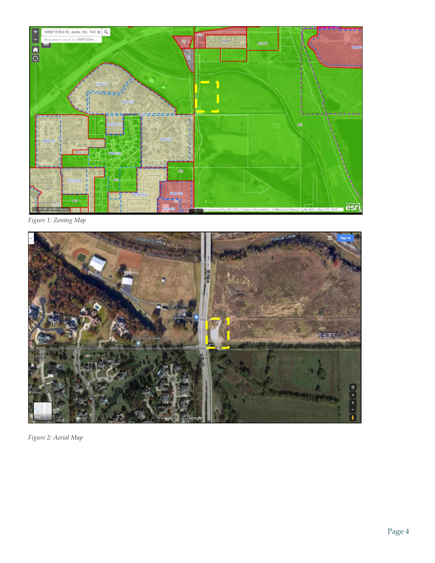

*Figure 1: Zoning Map*



*Figure 2: Aerial Map*